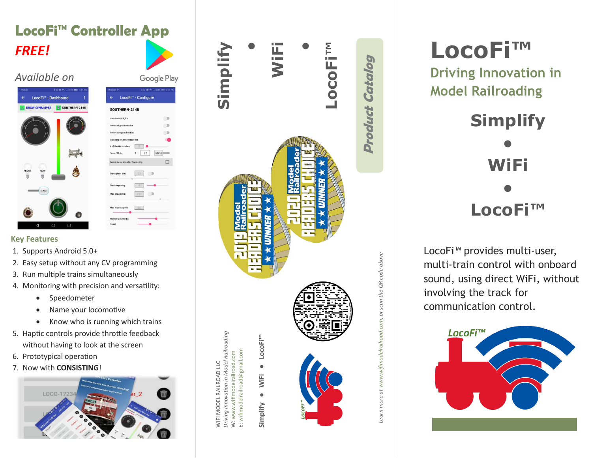## **LocoFi™ Controller App** *FREE!*

#### *Available on*



|                                  | Google Play                     |   |
|----------------------------------|---------------------------------|---|
| T-Mobile +                       | * 7 db 令 , 83% - 3:57 PM        |   |
| $\leftarrow$                     | LocoFi <sup>™</sup> - Configure |   |
| SOUTHERN-2148                    |                                 |   |
| Auto reverse lights              |                                 | в |
| Reverse lights direction         |                                 |   |
| Reverse engine direction         |                                 |   |
| Auto stop on connection loss     |                                 |   |
| # of throttle notches            | 8                               |   |
| Scale / Units                    | 87<br>MPH<br>$1$ :              |   |
| Enable scale speeds / Consisting |                                 |   |
| Start speed step                 | ○D<br>n                         |   |
| Start step delay                 | 8                               |   |
| Max speed step                   |                                 | n |
| Max display speed                | EB0                             |   |
| Momentum/Inertia                 |                                 |   |
| Coast                            |                                 |   |

#### **Key Features**

- 1. Supports Android 5.0+
- 2. Easy setup without any CV programming
- 3. Run multiple trains simultaneously
- 4. Monitoring with precision and versatility:
	- Speedometer
	- Name your locomotive
	- Know who is running which trains
- 5. Haptic controls provide throttle feedback without having to look at the screen
- 6. Prototypical operation
- 7. Now with **CONSISTING** !





# **LocoFi ™**

**Driving Innovation in Model Railroading**

## **Simplify ● WiFi ● LocoFi ™**

LocoFi™ provides multi -user, multi -train control with onboard sound, using direct WiFi, without involving the track for communication control.